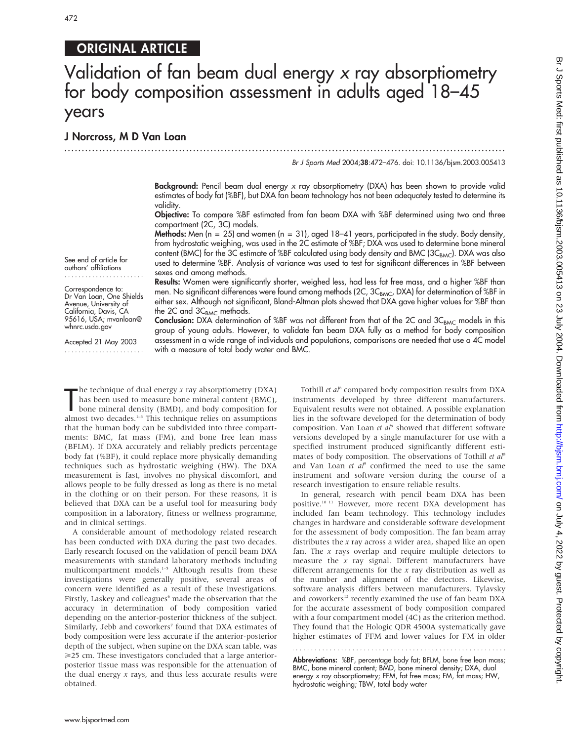# ORIGINAL ARTICLE

# Validation of fan beam dual energy x ray absorptiometry for body composition assessment in adults aged 18–45 years

...............................................................................................................................

# J Norcross, M D Van Loan

Br J Sports Med 2004;38:472–476. doi: 10.1136/bjsm.2003.005413

Background: Pencil beam dual energy x ray absorptiometry (DXA) has been shown to provide valid estimates of body fat (%BF), but DXA fan beam technology has not been adequately tested to determine its validity.

Objective: To compare %BF estimated from fan beam DXA with %BF determined using two and three compartment (2C, 3C) models.

**Methods:** Men (n = 25) and women (n = 31), aged  $18-41$  years, participated in the study. Body density, from hydrostatic weighing, was used in the 2C estimate of %BF; DXA was used to determine bone mineral content (BMC) for the 3C estimate of %BF calculated using body density and BMC ( $3C_{BMC}$ ). DXA was also used to determine %BF. Analysis of variance was used to test for significant differences in %BF between sexes and among methods.

Results: Women were significantly shorter, weighed less, had less fat free mass, and a higher %BF than men. No significant differences were found among methods (2C, 3C<sub>BMC</sub>, DXA) for determination of %BF in either sex. Although not significant, Bland-Altman plots showed that DXA gave higher values for %BF than the 2C and  $3C_{\text{BMC}}$  methods.

**Conclusion:** DXA determination of %BF was not different from that of the 2C and  $3C_{BMC}$  models in this group of young adults. However, to validate fan beam DXA fully as a method for body composition assessment in a wide range of individuals and populations, comparisons are needed that use a 4C model with a measure of total body water and BMC.

The technique of dual energy *x* ray absorptiometry (DXA)<br>has been used to measure bone mineral content (BMC),<br>bone mineral density (BMD), and body composition for<br>almost two decades.<sup>1–3</sup> This technique relies on assumpti The technique of dual energy  $x$  ray absorptiometry (DXA) has been used to measure bone mineral content (BMC), bone mineral density (BMD), and body composition for that the human body can be subdivided into three compartments: BMC, fat mass (FM), and bone free lean mass (BFLM). If DXA accurately and reliably predicts percentage body fat (%BF), it could replace more physically demanding techniques such as hydrostatic weighing (HW). The DXA measurement is fast, involves no physical discomfort, and allows people to be fully dressed as long as there is no metal in the clothing or on their person. For these reasons, it is believed that DXA can be a useful tool for measuring body composition in a laboratory, fitness or wellness programme, and in clinical settings.

A considerable amount of methodology related research has been conducted with DXA during the past two decades. Early research focused on the validation of pencil beam DXA measurements with standard laboratory methods including multicompartment models.<sup>1-5</sup> Although results from these investigations were generally positive, several areas of concern were identified as a result of these investigations. Firstly, Laskey and colleagues<sup>6</sup> made the observation that the accuracy in determination of body composition varied depending on the anterior-posterior thickness of the subject. Similarly, Jebb and coworkers<sup>7</sup> found that DXA estimates of body composition were less accurate if the anterior-posterior depth of the subject, when supine on the DXA scan table, was  $\geq$ 25 cm. These investigators concluded that a large anteriorposterior tissue mass was responsible for the attenuation of the dual energy  $x$  rays, and thus less accurate results were obtained.

Tothill et al<sup>8</sup> compared body composition results from DXA instruments developed by three different manufacturers. Equivalent results were not obtained. A possible explanation lies in the software developed for the determination of body composition. Van Loan et al<sup>9</sup> showed that different software versions developed by a single manufacturer for use with a specified instrument produced significantly different estimates of body composition. The observations of Tothill et al<sup>8</sup> and Van Loan  $et$   $al^9$  confirmed the need to use the same instrument and software version during the course of a research investigation to ensure reliable results.

In general, research with pencil beam DXA has been positive.10 11 However, more recent DXA development has included fan beam technology. This technology includes changes in hardware and considerable software development for the assessment of body composition. The fan beam array distributes the  $x$  ray across a wider area, shaped like an open fan. The  $x$  rays overlap and require multiple detectors to measure the  $x$  ray signal. Different manufacturers have different arrangements for the  $x$  ray distribution as well as the number and alignment of the detectors. Likewise, software analysis differs between manufacturers. Tylavsky and coworkers<sup>12</sup> recently examined the use of fan beam DXA for the accurate assessment of body composition compared with a four compartment model (4C) as the criterion method. They found that the Hologic QDR 4500A systematically gave higher estimates of FFM and lower values for FM in older

Abbreviations: %BF, percentage body fat; BFLM, bone free lean mass; BMC, bone mineral content; BMD, bone mineral density; DXA, dual energy x ray absorptiometry; FFM, fat free mass; FM, fat mass; HW, hydrostatic weighing; TBW, total body water

See end of article for authors' affiliations

Correspondence to: Dr Van Loan, One Shields Avenue, University of California, Davis, CA 95616, USA; mvanloan@ whnrc.usda.gov

Accepted 21 May 2003 .......................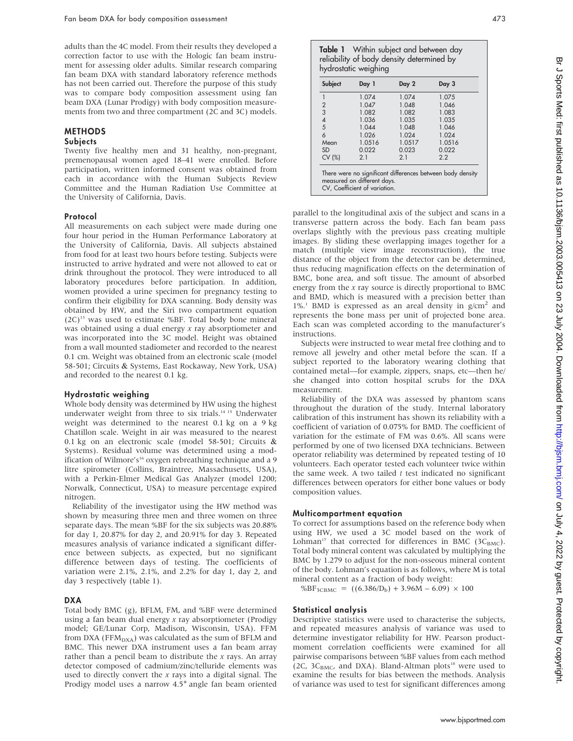adults than the 4C model. From their results they developed a correction factor to use with the Hologic fan beam instrument for assessing older adults. Similar research comparing fan beam DXA with standard laboratory reference methods has not been carried out. Therefore the purpose of this study was to compare body composition assessment using fan beam DXA (Lunar Prodigy) with body composition measurements from two and three compartment (2C and 3C) models.

# METHODS

## **Subjects**

Twenty five healthy men and 31 healthy, non-pregnant, premenopausal women aged 18–41 were enrolled. Before participation, written informed consent was obtained from each in accordance with the Human Subjects Review Committee and the Human Radiation Use Committee at the University of California, Davis.

#### Protocol

All measurements on each subject were made during one four hour period in the Human Performance Laboratory at the University of California, Davis. All subjects abstained from food for at least two hours before testing. Subjects were instructed to arrive hydrated and were not allowed to eat or drink throughout the protocol. They were introduced to all laboratory procedures before participation. In addition, women provided a urine specimen for pregnancy testing to confirm their eligibility for DXA scanning. Body density was obtained by HW, and the Siri two compartment equation  $(2C)^{13}$  was used to estimate %BF. Total body bone mineral was obtained using a dual energy  $x$  ray absorptiometer and was incorporated into the 3C model. Height was obtained from a wall mounted stadiometer and recorded to the nearest 0.1 cm. Weight was obtained from an electronic scale (model 58-501; Circuits & Systems, East Rockaway, New York, USA) and recorded to the nearest 0.1 kg.

## Hydrostatic weighing

Whole body density was determined by HW using the highest underwater weight from three to six trials.<sup>14 15</sup> Underwater weight was determined to the nearest 0.1 kg on a 9 kg Chatillon scale. Weight in air was measured to the nearest 0.1 kg on an electronic scale (model 58-501; Circuits & Systems). Residual volume was determined using a modification of Wilmore's<sup>16</sup> oxygen rebreathing technique and a 9 litre spirometer (Collins, Braintree, Massachusetts, USA), with a Perkin-Elmer Medical Gas Analyzer (model 1200; Norwalk, Connecticut, USA) to measure percentage expired nitrogen.

Reliability of the investigator using the HW method was shown by measuring three men and three women on three separate days. The mean %BF for the six subjects was 20.88% for day 1, 20.87% for day 2, and 20.91% for day 3. Repeated measures analysis of variance indicated a significant difference between subjects, as expected, but no significant difference between days of testing. The coefficients of variation were 2.1%, 2.1%, and 2.2% for day 1, day 2, and day 3 respectively (table 1).

# DXA

Total body BMC (g), BFLM, FM, and %BF were determined using a fan beam dual energy  $x$  ray absorptiometer (Prodigy model; GE/Lunar Corp, Madison, Wisconsin, USA). FFM from DXA (FFM<sub>DXA</sub>) was calculated as the sum of BFLM and BMC. This newer DXA instrument uses a fan beam array rather than a pencil beam to distribute the  $x$  rays. An array detector composed of cadmium/zinc/telluride elements was used to directly convert the  $x$  rays into a digital signal. The Prodigy model uses a narrow 4.5˚ angle fan beam oriented

| w | ×<br>×<br>۰. |
|---|--------------|
|---|--------------|

**Table 1** Within subject and between day reliability of body density determined by hydrostatic weighing

|               | 1.074  | 1.074  | 1.075  |
|---------------|--------|--------|--------|
| $\frac{2}{3}$ | 1.047  | 1.048  | 1.046  |
|               | 1.082  | 1.082  | 1.083  |
| $rac{4}{5}$   | 1.036  | 1.035  | 1.035  |
|               | 1.044  | 1.048  | 1.046  |
| 6             | 1.026  | 1.024  | 1.024  |
| Mean          | 1.0516 | 1.0517 | 1.0516 |
| <b>SD</b>     | 0.022  | 0.023  | 0.022  |
| CV (%)        | 2.1    | 2.1    | 2.2    |

parallel to the longitudinal axis of the subject and scans in a transverse pattern across the body. Each fan beam pass overlaps slightly with the previous pass creating multiple images. By sliding these overlapping images together for a match (multiple view image reconstruction), the true distance of the object from the detector can be determined, thus reducing magnification effects on the determination of BMC, bone area, and soft tissue. The amount of absorbed energy from the x ray source is directly proportional to BMC and BMD, which is measured with a precision better than  $1\%$ <sup>1</sup> BMD is expressed as an areal density in g/cm<sup>2</sup> and represents the bone mass per unit of projected bone area. Each scan was completed according to the manufacturer's instructions.

Subjects were instructed to wear metal free clothing and to remove all jewelry and other metal before the scan. If a subject reported to the laboratory wearing clothing that contained metal—for example, zippers, snaps, etc—then he/ she changed into cotton hospital scrubs for the DXA measurement.

Reliability of the DXA was assessed by phantom scans throughout the duration of the study. Internal laboratory calibration of this instrument has shown its reliability with a coefficient of variation of 0.075% for BMD. The coefficient of variation for the estimate of FM was 0.6%. All scans were performed by one of two licensed DXA technicians. Between operator reliability was determined by repeated testing of 10 volunteers. Each operator tested each volunteer twice within the same week. A two tailed  $t$  test indicated no significant differences between operators for either bone values or body composition values.

# Multicompartment equation

To correct for assumptions based on the reference body when using HW, we used a 3C model based on the work of Lohman<sup>17</sup> that corrected for differences in BMC (3 $C_{\text{BMC}}$ ). Total body mineral content was calculated by multiplying the BMC by 1.279 to adjust for the non-osseous mineral content of the body. Lohman's equation is as follows, where M is total mineral content as a fraction of body weight:

 $%BF_{3CBMC} = ((6.386/D<sub>b</sub>) + 3.96M - 6.09) \times 100$ 

## Statistical analysis

Descriptive statistics were used to characterise the subjects, and repeated measures analysis of variance was used to determine investigator reliability for HW. Pearson productmoment correlation coefficients were examined for all pairwise comparisons between %BF values from each method (2C,  $3C_{BMC}$ , and DXA). Bland-Altman plots<sup>18</sup> were used to examine the results for bias between the methods. Analysis of variance was used to test for significant differences among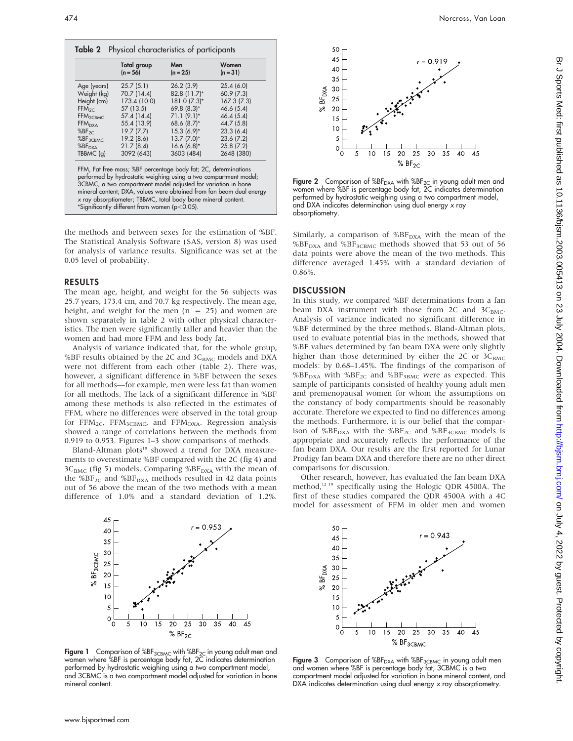|                      | Total group<br>$(n = 56)$                     | Men<br>$(n = 25)$                                                                                                                                                                                                                                                     | Women<br>$(n = 31)$                                                  |
|----------------------|-----------------------------------------------|-----------------------------------------------------------------------------------------------------------------------------------------------------------------------------------------------------------------------------------------------------------------------|----------------------------------------------------------------------|
| Age (years)          | 25.7(5.1)                                     | 26.2(3.9)                                                                                                                                                                                                                                                             | 25.4(6.0)                                                            |
| Weight (kg)          | 70.7 (14.4)                                   | 82.8 (11.7)*                                                                                                                                                                                                                                                          | 60.9(7.3)                                                            |
| Height (cm)          | 173.4 (10.0)                                  | 181.0 (7.3)*                                                                                                                                                                                                                                                          | 167.3(7.3)                                                           |
| FFM <sub>2C</sub>    | 57 (13.5)                                     | $69.8(8.3)*$                                                                                                                                                                                                                                                          | 46.6(5.4)                                                            |
| FFM <sub>3CBMC</sub> | 57.4 (14.4)                                   | $71.1(9.1)^*$                                                                                                                                                                                                                                                         | 46.4(5.4)                                                            |
| FFM <sub>DXA</sub>   | 55.4 (13.9)                                   | 68.6 (8.7)*                                                                                                                                                                                                                                                           | 44.7 (5.8)                                                           |
| $%BF_{2C}$           | 19.7(7.7)                                     | $15.3(6.9)$ *                                                                                                                                                                                                                                                         | 23.3(6.4)                                                            |
| %BF <sub>3CBMC</sub> | 19.2(8.6)                                     | $13.7 (7.0)^*$                                                                                                                                                                                                                                                        | 23.6(7.2)                                                            |
| %BF <sub>DXA</sub>   | 21.7(8.4)                                     | $16.6(6.8)$ *                                                                                                                                                                                                                                                         | 25.8(7.2)                                                            |
| TBBMC (q)            | 3092 (643)                                    | 3603 (484)                                                                                                                                                                                                                                                            | 2648 (380)                                                           |
|                      | *Significantly different from women (p<0.05). | FFM, Fat free mass; %BF percentage body fat; 2C, determinations<br>performed by hydrostatic weighing using a two compartment model;<br>3CBMC, a two compartment model adjusted for variation in bone<br>x ray absorptiometer; TBBMC, total body bone mineral content. | mineral content; DXA, values were obtained from fan beam dual energy |

the methods and between sexes for the estimation of %BF. The Statistical Analysis Software (SAS, version 8) was used for analysis of variance results. Significance was set at the 0.05 level of probability.

#### RESULTS

The mean age, height, and weight for the 56 subjects was 25.7 years, 173.4 cm, and 70.7 kg respectively. The mean age, height, and weight for the men  $(n = 25)$  and women are shown separately in table 2 with other physical characteristics. The men were significantly taller and heavier than the women and had more FFM and less body fat.

Analysis of variance indicated that, for the whole group, %BF results obtained by the 2C and  $3C<sub>BMC</sub>$  models and DXA were not different from each other (table 2). There was, however, a significant difference in %BF between the sexes for all methods—for example, men were less fat than women for all methods. The lack of a significant difference in %BF among these methods is also reflected in the estimates of FFM, where no differences were observed in the total group for FFM<sub>2C</sub>, FFM<sub>3CBMC</sub>, and FFM<sub>DXA</sub>. Regression analysis showed a range of correlations between the methods from 0.919 to 0.953. Figures 1–3 show comparisons of methods.

Bland-Altman plots<sup>18</sup> showed a trend for DXA measurements to overestimate %BF compared with the 2C (fig 4) and  $3C_{\text{BMC}}$  (fig 5) models. Comparing %BF<sub>DXA</sub> with the mean of the %BF<sub>2C</sub> and %BF<sub>DXA</sub> methods resulted in 42 data points out of 56 above the mean of the two methods with a mean difference of 1.0% and a standard deviation of 1.2%.



Figure 1 Comparison of  $%BF_{3CBMC}$  with  $%BF_{2C}$  in young adult men and women where %BF is percentage body fat, 2C indicates determination performed by hydrostatic weighing using a two compartment model, and 3CBMC is a two compartment model adjusted for variation in bone mineral content.



Figure 2 Comparison of  $%BF_{DXA}$  with  $%BF_{2C}$  in young adult men and women where %BF is percentage body fat, 2C indicates determination performed by hydrostatic weighing using a two compartment model, and DXA indicates determination using dual energy  $x$  ray absorptiometry.

Similarly, a comparison of  $%BF_{\rm DXA}$  with the mean of the  $% {\rm {B}F_{\rm DXA}}$  and  $% {\rm {B}F_{\rm 3CBMC}}$  methods showed that 53 out of 56 data points were above the mean of the two methods. This difference averaged 1.45% with a standard deviation of 0.86%.

#### **DISCUSSION**

In this study, we compared %BF determinations from a fan beam DXA instrument with those from  $2C$  and  $3C_{BMC}$ . Analysis of variance indicated no significant difference in %BF determined by the three methods. Bland-Altman plots, used to evaluate potential bias in the methods, showed that %BF values determined by fan beam DXA were only slightly higher than those determined by either the 2C or  $3C_{BMC}$ models: by 0.68–1.45%. The findings of the comparison of %BF<sub>DXA</sub> with %BF<sub>2C</sub> and %BF<sub>3BMC</sub> were as expected. This sample of participants consisted of healthy young adult men and premenopausal women for whom the assumptions on the constancy of body compartments should be reasonably accurate. Therefore we expected to find no differences among the methods. Furthermore, it is our belief that the comparison of %BF<sub>DXA</sub> with the %BF<sub>2C</sub> and %BF<sub>3CBMC</sub> models is appropriate and accurately reflects the performance of the fan beam DXA. Our results are the first reported for Lunar Prodigy fan beam DXA and therefore there are no other direct comparisons for discussion.

Other research, however, has evaluated the fan beam DXA method,<sup>12-19</sup> specifically using the Hologic QDR 4500A. The first of these studies compared the QDR 4500A with a 4C model for assessment of FFM in older men and women



Figure 3 Comparison of  $%BF_{DXA}$  with  $%BF_{3CBMC}$  in young adult men and women where %BF is percentage body fat, 3CBMC is a two compartment model adjusted for variation in bone mineral content, and DXA indicates determination using dual energy x ray absorptiometry.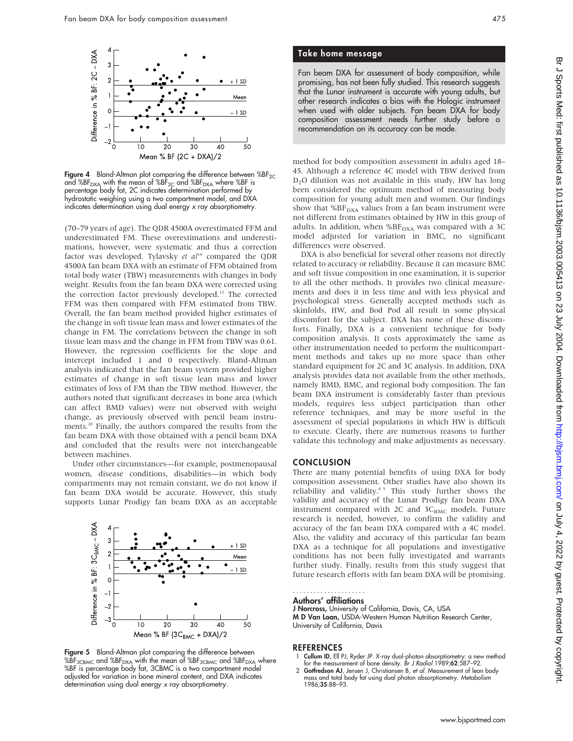

Figure 4 Bland-Altman plot comparing the difference between  $%BF_{2C}$ and %BF<sub>DXA</sub> with the mean of %BF<sub>2C</sub> and %BF<sub>DXA</sub> where %BF is<br>percentage body fat, 2C indicates determination performed by hydrostatic weighing using a two compartment model, and DXA indicates determination using dual energy x ray absorptiometry.

(70–79 years of age). The QDR 4500A overestimated FFM and underestimated FM. These overestimations and underestimations, however, were systematic and thus a correction factor was developed. Tylavsky et  $al^{19}$  compared the QDR 4500A fan beam DXA with an estimate of FFM obtained from total body water (TBW) measurements with changes in body weight. Results from the fan beam DXA were corrected using the correction factor previously developed.<sup>12</sup> The corrected FFM was then compared with FFM estimated from TBW. Overall, the fan beam method provided higher estimates of the change in soft tissue lean mass and lower estimates of the change in FM. The correlations between the change in soft tissue lean mass and the change in FFM from TBW was 0.61. However, the regression coefficients for the slope and intercept included 1 and 0 respectively. Bland-Altman analysis indicated that the fan beam system provided higher estimates of change in soft tissue lean mass and lower estimates of loss of FM than the TBW method. However, the authors noted that significant decreases in bone area (which can affect BMD values) were not observed with weight change, as previously observed with pencil beam instruments.20 Finally, the authors compared the results from the fan beam DXA with those obtained with a pencil beam DXA and concluded that the results were not interchangeable between machines.

Under other circumstances—for example, postmenopausal women, disease conditions, disabilities—in which body compartments may not remain constant, we do not know if fan beam DXA would be accurate. However, this study supports Lunar Prodigy fan beam DXA as an acceptable



**Figure 5** Bland-Altman plot comparing the difference between %BF $_{\rm 3CBMC}$  and %BF $_{\rm DXA}$  with the mean of %BF $_{\rm 3CBMC}$  and %BF $_{\rm DXA}$  where %BF is percentage body fat, 3CBMC is a two compartment model adjusted for variation in bone mineral content, and DXA indicates determination using dual energy x ray absorptiometry.

# Take home message

Fan beam DXA for assessment of body composition, while promising, has not been fully studied. This research suggests that the Lunar instrument is accurate with young adults, but other research indicates a bias with the Hologic instrument when used with older subjects. Fan beam DXA for body composition assessment needs further study before a recommendation on its accuracy can be made.

method for body composition assessment in adults aged 18– 45. Although a reference 4C model with TBW derived from D2O dilution was not available in this study, HW has long been considered the optimum method of measuring body composition for young adult men and women. Our findings show that  $%BF_{\text{DXA}}$  values from a fan beam instrument were not different from estimates obtained by HW in this group of adults. In addition, when %BF $_{\text{DXA}}$  was compared with a 3C model adjusted for variation in BMC, no significant differences were observed.

DXA is also beneficial for several other reasons not directly related to accuracy or reliability. Because it can measure BMC and soft tissue composition in one examination, it is superior to all the other methods. It provides two clinical measurements and does it in less time and with less physical and psychological stress. Generally accepted methods such as skinfolds, HW, and Bod Pod all result in some physical discomfort for the subject. DXA has none of these discomforts. Finally, DXA is a convenient technique for body composition analysis. It costs approximately the same as other instrumentation needed to perform the multicompartment methods and takes up no more space than other standard equipment for 2C and 3C analysis. In addition, DXA analysis provides data not available from the other methods, namely BMD, BMC, and regional body composition. The fan beam DXA instrument is considerably faster than previous models, requires less subject participation than other reference techniques, and may be more useful in the assessment of special populations in which HW is difficult to execute. Clearly, there are numerous reasons to further validate this technology and make adjustments as necessary.

# **CONCLUSION**

There are many potential benefits of using DXA for body composition assessment. Other studies have also shown its reliability and validity.<sup>45</sup> This study further shows the validity and accuracy of the Lunar Prodigy fan beam DXA instrument compared with 2C and  $3C_{\text{BMC}}$  models. Future research is needed, however, to confirm the validity and accuracy of the fan beam DXA compared with a 4C model. Also, the validity and accuracy of this particular fan beam DXA as a technique for all populations and investigative conditions has not been fully investigated and warrants further study. Finally, results from this study suggest that future research efforts with fan beam DXA will be promising.

#### Authors' affiliations .....................

J Norcross, University of California, Davis, CA, USA M D Van Loan, USDA-Western Human Nutrition Research Center, University of California, Davis

#### **REFERENCES**

- Cullum ID, Ell PJ, Ryder JP. X-ray dual-photon absorptiometry: a new method for the measurement of bone density. Br J Radiol 1989;62:587–92.
- 2 Gotfredson AJ, Jensen J, Christiansen B, et al. Measurement of lean body mass and total body fat using dual photon absorptiometry. Metabolism 1986;35:88–93.